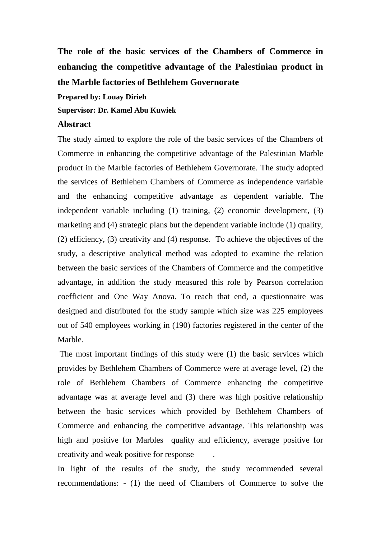**The role of the basic services of the Chambers of Commerce in enhancing the competitive advantage of the Palestinian product in the Marble factories of Bethlehem Governorate**

**Prepared by: Louay Dirieh**

**Supervisor: Dr. Kamel Abu Kuwiek**

## **Abstract**

The study aimed to explore the role of the basic services of the Chambers of Commerce in enhancing the competitive advantage of the Palestinian Marble product in the Marble factories of Bethlehem Governorate. The study adopted the services of Bethlehem Chambers of Commerce as independence variable and the enhancing competitive advantage as dependent variable. The independent variable including (1) training, (2) economic development, (3) marketing and (4) strategic plans but the dependent variable include (1) quality, (2) efficiency, (3) creativity and (4) response. To achieve the objectives of the study, a descriptive analytical method was adopted to examine the relation between the basic services of the Chambers of Commerce and the competitive advantage, in addition the study measured this role by Pearson correlation coefficient and One Way Anova. To reach that end, a questionnaire was designed and distributed for the study sample which size was 225 employees out of 540 employees working in (190) factories registered in the center of the Marble.

The most important findings of this study were (1) the basic services which provides by Bethlehem Chambers of Commerce were at average level, (2) the role of Bethlehem Chambers of Commerce enhancing the competitive advantage was at average level and (3) there was high positive relationship between the basic services which provided by Bethlehem Chambers of Commerce and enhancing the competitive advantage. This relationship was high and positive for Marbles quality and efficiency, average positive for creativity and weak positive for response .

In light of the results of the study, the study recommended several recommendations: - (1) the need of Chambers of Commerce to solve the